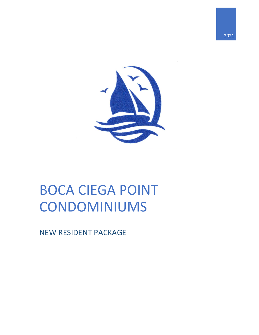

# BOCA CIEGA POINT CONDOMINIUMS

NEW RESIDENT PACKAGE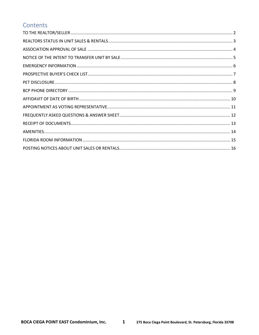### Contents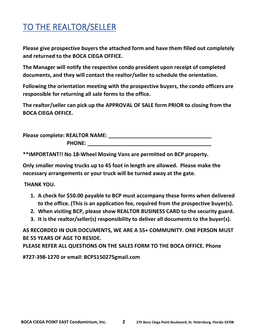## <span id="page-2-0"></span>TO THE REALTOR/SELLER

**Please give prospective buyers the attached form and have them filled out completely and returned to the BOCA CIEGA OFFICE.**

**The Manager will notify the respective condo president upon receipt of completed documents, and they will contact the realtor/seller to schedule the orientation.** 

**Following the orientation meeting with the prospective buyers, the condo officers are responsible for returning all sale forms to the office.**

**The realtor/seller can pick up the APPROVAL OF SALE form PRIOR to closing from the BOCA CIEGA OFFICE.**

| Please complete: REALTOR NAME: |  |
|--------------------------------|--|
| <b>PHONE:</b>                  |  |

**\*\*IMPORTANT!! No 18-Wheel Moving Vans are permitted on BCP property.**

**Only smaller moving trucks up to 45 foot in length are allowed. Please make the necessary arrangements or your truck will be turned away at the gate.**

**THANK YOU.**

- **1. A check for \$50.00 payable to BCP must accompany these forms when delivered to the office. (This is an application fee, required from the prospective buyer(s).**
- **2. When visiting BCP, please show REALTOR BUSINESS CARD to the security guard.**
- **3. It is the realtor/seller(s) responsibility to deliver all documents to the buyer(s).**

**AS RECORDED IN OUR DOCUMENTS, WE ARE A 55+ COMMUNITY. ONE PERSON MUST BE 55 YEARS OF AGE TO RESIDE.**

**PLEASE REFER ALL QUESTIONS ON THE SALES FORM TO THE BOCA OFFICE. Phone**

**#727-398-1270 or email: BCP5150275gmail.com**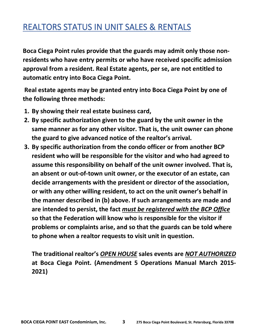## <span id="page-3-0"></span>REALTORS STATUS IN UNIT SALES & RENTALS

**Boca Ciega Point rules provide that the guards may admit only those nonresidents who have entry permits or who have received specific admission approval from a resident. Real Estate agents, per se, are not entitled to automatic entry into Boca Ciega Point.**

**Real estate agents may be granted entry into Boca Ciega Point by one of the following three methods:**

- **1. By showing their real estate business card,**
- **2. By specific authorization given to the guard by the unit owner in the same manner as for any other visitor. That is, the unit owner can phone the guard to give advanced notice of the realtor's arrival.**
- **3. By specific authorization from the condo officer or from another BCP resident who will be responsible for the visitor and who had agreed to assume this responsibility on behalf of the unit owner involved. That is, an absent or out-of-town unit owner, or the executor of an estate, can decide arrangements with the president or director of the association, or with any other willing resident, to act on the unit owner's behalf in the manner described in (b) above. If such arrangements are made and are intended to persist, the fact** *must be registered with the BCP Office* **so that the Federation will know who is responsible for the visitor if problems or complaints arise, and so that the guards can be told where to phone when a realtor requests to visit unit in question.**

**The traditional realtor's** *OPEN HOUSE* **sales events are** *NOT AUTHORIZED* **at Boca Ciega Point. (Amendment 5 Operations Manual March 2015- 2021)**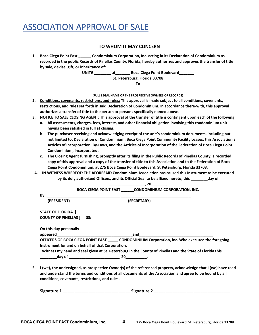## <span id="page-4-0"></span>ASSOCIATION APPROVAL OF SALE

### **TO WHOM IT MAY CONCERN**

**1. Boca Ciega Point East \_\_\_\_\_\_ Condominium Corporation, Inc. acting in its Declaration of Condominium as recorded in the public Records of Pinellas County, Florida, hereby authorizes and approves the transfer of title by sale, devise, gift, or inheritance of:**

> **UNIT# \_\_\_\_\_\_\_\_ at\_\_\_\_\_\_\_ Boca Ciega Point Boulevard\_\_\_\_\_\_\_ St. Petersburg, Florida 33708 To**

> > **(FULL LEGAL NAME OF THE PROSPECTIVE OWNERS OF RECORDS)**

- **2. Conditions, covenants, restrictions, and rules: This approval is made subject to all conditions, covenants, restrictions, and rules set forth in said Declaration of Condominium. In accordance there-with, this approval authorizes a transfer of title to the person or persons specifically named above.**
- **3. NOTICE TO SALE CLOSING AGENT: This approval of the transfer of title is contingent upon each of the following.**
	- **a. All assessments, charges, fees, interest, and other financial obligation involving this condominium unit having been satisfied in full at closing.**
	- **b. The purchaser receiving and acknowledging receipt of the unit's condominium documents, including but not limited to: Declaration of Condominium, Boca Ciega Point Community Facility Leases, this Association's Articles of Incorporation, By-Laws, and the Articles of Incorporation of the Federation of Boca Ciega Point Condominium, Incorporated.**
	- **c. The Closing Agent furnishing, promptly after its filing in the Public Records of Pinellas County, a recorded copy of this approval and a copy of the transfer of title to this Association and to the Federation of Boca Ciega Point Condominium, at 275 Boca Ciega Point Boulevard, St Petersburg, Florida 33708.**
- **4. IN WITNESS WHEREOF: THE AFORESAID Condominium Association has caused this Instrument to be executed by its duly authorized Officers, and its Official Seal to be affixed hereto, this \_\_\_\_\_\_\_\_day of**

|                                                   | 20                                                                                                                                                                                                                             |
|---------------------------------------------------|--------------------------------------------------------------------------------------------------------------------------------------------------------------------------------------------------------------------------------|
|                                                   | BOCA CIEGA POINT EAST CONDOMINIUM CORPORATION, INC.                                                                                                                                                                            |
| By:                                               |                                                                                                                                                                                                                                |
| (PRESIDENT)                                       | (SECRETARY)                                                                                                                                                                                                                    |
| <b>STATE OF FLORIDA 1</b>                         |                                                                                                                                                                                                                                |
| <b>COUNTY OF PINELLAS 1</b><br>SS:                |                                                                                                                                                                                                                                |
| On this day personally                            |                                                                                                                                                                                                                                |
|                                                   | and the contract of the contract of the contract of the contract of the contract of the contract of the contract of the contract of the contract of the contract of the contract of the contract of the contract of the contra |
|                                                   | OFFICERS OF BOCA CIEGA POINT EAST ______ CONDOMINIUM Corporation, inc. Who executed the foregoing                                                                                                                              |
| Instrument for and on behalf of that Corporation. |                                                                                                                                                                                                                                |
|                                                   | Witness my hand and seal given at St. Petersburg in the County of Pinellas and the State of Florida this                                                                                                                       |
|                                                   |                                                                                                                                                                                                                                |

**5. I (we), the undersigned, as prospective Owner(s) of the referenced property, acknowledge that I (we) have read and understand the terms and conditions of all documents of the Association and agree to be bound by all conditions, covenants, restrictions, and rules.**

| Signature 1 | <b>Signature 2</b> |
|-------------|--------------------|
|-------------|--------------------|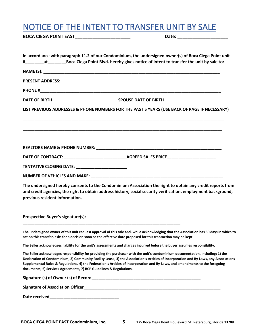## <span id="page-5-0"></span>NOTICE OF THE INTENT TO TRANSFER UNIT BY SALE

**BOCA CIEGA POINT EAST**\_\_\_\_\_\_\_\_\_\_\_\_\_\_\_\_\_\_\_\_\_\_ **Date:** \_\_\_\_\_\_\_\_\_\_\_\_\_\_\_\_\_\_\_\_

| LIST PREVIOUS ADDRESSES & PHONE NUMBERS FOR THE PAST 5 YEARS (USE BACK OF PAGE IF NECESSARY)                                                                                                                                                                                                                                                                                                                                                                                    |  |
|---------------------------------------------------------------------------------------------------------------------------------------------------------------------------------------------------------------------------------------------------------------------------------------------------------------------------------------------------------------------------------------------------------------------------------------------------------------------------------|--|
|                                                                                                                                                                                                                                                                                                                                                                                                                                                                                 |  |
|                                                                                                                                                                                                                                                                                                                                                                                                                                                                                 |  |
|                                                                                                                                                                                                                                                                                                                                                                                                                                                                                 |  |
| TENTATIVE CLOSING DATE: _______________________                                                                                                                                                                                                                                                                                                                                                                                                                                 |  |
|                                                                                                                                                                                                                                                                                                                                                                                                                                                                                 |  |
| The undersigned hereby consents to the Condominium Association the right to obtain any credit reports from<br>and credit agencies, the right to obtain address history, social security verification, employment background,<br>previous resident information.                                                                                                                                                                                                                  |  |
| <b>Prospective Buyer's signature(s):</b><br><u> 1989 - Johann Stoff, amerikansk politiker (d. 1989)</u>                                                                                                                                                                                                                                                                                                                                                                         |  |
| The undersigned owner of this unit request approval of this sale and, while acknowledging that the Association has 30 days in which to<br>act on this transfer, asks for a decision soon so the effective date proposed for this transaction may be kept.                                                                                                                                                                                                                       |  |
| The Seller acknowledges liability for the unit's assessments and charges incurred before the buyer assumes responsibility.                                                                                                                                                                                                                                                                                                                                                      |  |
| The Seller acknowledges responsibility for providing the purchaser with the unit's condominium documentation, including: 1) the<br>Declaration of Condominium, 2) Community Facility Lease, 3) the Association's Articles of Incorporation and By-Laws, any Associations<br>Supplemental Rules & Regulations. 4) the Federation's Articles of Incorporation and By-Laws, and amendments to the foregoing<br>documents, 6) Services Agreements, 7) BCP Guidelines & Regulations. |  |
|                                                                                                                                                                                                                                                                                                                                                                                                                                                                                 |  |
|                                                                                                                                                                                                                                                                                                                                                                                                                                                                                 |  |
|                                                                                                                                                                                                                                                                                                                                                                                                                                                                                 |  |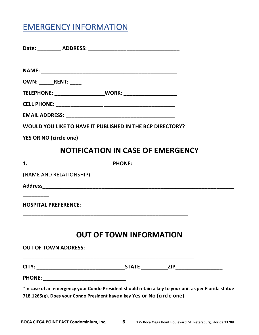## <span id="page-6-0"></span>EMERGENCY INFORMATION

| OWN: RENT:                                                                                                                                                                       |                                          |  |
|----------------------------------------------------------------------------------------------------------------------------------------------------------------------------------|------------------------------------------|--|
| TELEPHONE: ______________________WORK: _____________________                                                                                                                     |                                          |  |
|                                                                                                                                                                                  |                                          |  |
|                                                                                                                                                                                  |                                          |  |
| WOULD YOU LIKE TO HAVE IT PUBLISHED IN THE BCP DIRECTORY?                                                                                                                        |                                          |  |
| <b>YES OR NO (circle one)</b>                                                                                                                                                    |                                          |  |
|                                                                                                                                                                                  | <b>NOTIFICATION IN CASE OF EMERGENCY</b> |  |
|                                                                                                                                                                                  |                                          |  |
| (NAME AND RELATIONSHIP)                                                                                                                                                          |                                          |  |
|                                                                                                                                                                                  |                                          |  |
| <b>HOSPITAL PREFERENCE:</b>                                                                                                                                                      |                                          |  |
|                                                                                                                                                                                  | <b>OUT OF TOWN INFORMATION</b>           |  |
| <b>OUT OF TOWN ADDRESS:</b>                                                                                                                                                      |                                          |  |
|                                                                                                                                                                                  |                                          |  |
|                                                                                                                                                                                  |                                          |  |
| *In case of an emergency your Condo President should retain a key to your unit as per Florida statue<br>718.1265(g). Does your Condo President have a key Yes or No (circle one) |                                          |  |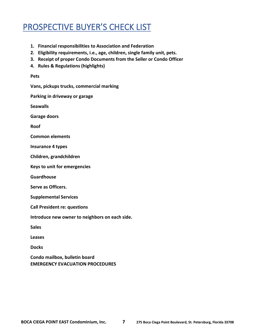## <span id="page-7-0"></span>PROSPECTIVE BUYER'S CHECK LIST

- **1. Financial responsibilities to Association and Federation**
- **2. Eligibility requirements, i.e., age, children, single family unit, pets.**
- **3. Receipt of proper Condo Documents from the Seller or Condo Officer**
- **4. Rules & Regulations (highlights)**

### **Pets**

**Vans, pickups trucks, commercial marking**

**Parking in driveway or garage**

**Seawalls**

**Garage doors**

**Roof**

**Common elements**

**Insurance 4 types**

**Children, grandchildren**

**Keys to unit for emergencies**

**Guardhouse**

**Serve as Officers.**

**Supplemental Services**

**Call President re: questions**

**Introduce new owner to neighbors on each side.**

**Sales**

**Leases**

**Docks**

**Condo mailbox, bulletin board EMERGENCY EVACUATION PROCEDURES**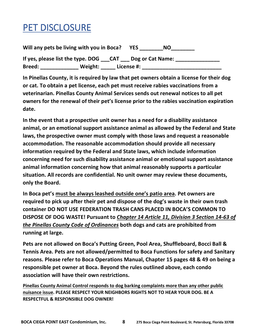## <span id="page-8-0"></span>PET DISCLOSURE

**Will any pets be living with you in Boca? YES \_\_\_\_\_\_\_\_NO\_\_\_\_\_\_\_\_ If yes, please list the type. DOG \_\_\_CAT \_\_\_ Dog or Cat Name: \_\_\_\_\_\_\_\_\_\_\_\_\_\_\_ Breed: \_\_\_\_\_\_\_\_\_\_\_\_\_ Weight: \_\_\_\_\_ License #: \_\_\_\_\_\_\_\_\_\_\_\_\_\_\_\_\_\_\_\_\_\_\_\_\_\_\_**

**In Pinellas County, it is required by law that pet owners obtain a license for their dog or cat. To obtain a pet license, each pet must receive rabies vaccinations from a veterinarian. Pinellas County Animal Services sends out renewal notices to all pet owners for the renewal of their pet's license prior to the rabies vaccination expiration date.**

**In the event that a prospective unit owner has a need for a disability assistance animal, or an emotional support assistance animal as allowed by the Federal and State laws, the prospective owner must comply with those laws and request a reasonable accommodation. The reasonable accommodation should provide all necessary information required by the Federal and State laws, which include information concerning need for such disability assistance animal or emotional support assistance animal information concerning how that animal reasonably supports a particular situation. All records are confidential. No unit owner may review these documents, only the Board.**

**In Boca pet's must be always leashed outside one's patio area. Pet owners are required to pick up after their pet and dispose of the dog's waste in their own trash container DO NOT USE FEDERATION TRASH CANS PLACED IN BOCA'S COMMON TO DISPOSE OF DOG WASTE! Pursuant to** *Chapter 14 Article 11, Division 3 Section 14-63 of the Pinellas County Code of Ordinances* **both dogs and cats are prohibited from running at large.**

**Pets are not allowed on Boca's Putting Green, Pool Area, Shuffleboard, Bocci Ball & Tennis Area. Pets are not allowed/permitted to Boca Functions for safety and Sanitary reasons. Please refer to Boca Operations Manual, Chapter 15 pages 48 & 49 on being a responsible pet owner at Boca. Beyond the rules outlined above, each condo association will have their own restrictions.**

**Pinellas County Animal Control responds to dog barking complaints more than any other public nuisance issue. PLEASE RESPECT YOUR NEIGHBORS RIGHTS NOT TO HEAR YOUR DOG. BE A RESPECTFUL & RESPONSIBLE DOG OWNER!**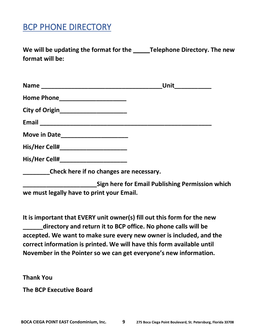## <span id="page-9-0"></span>BCP PHONE DIRECTORY

**We will be updating the format for the \_\_\_\_\_Telephone Directory. The new format will be:**

|                                         | Unit |
|-----------------------------------------|------|
| Home Phone_____________________         |      |
|                                         |      |
|                                         |      |
| Move in Date_______________________     |      |
|                                         |      |
| His/Her Cell#_______________________    |      |
| Check here if no changes are necessary. |      |

**\_\_\_\_\_\_\_\_\_\_\_\_\_\_\_\_\_\_\_\_\_\_Sign here for Email Publishing Permission which we must legally have to print your Email.**

**It is important that EVERY unit owner(s) fill out this form for the new \_\_\_\_\_\_directory and return it to BCP office. No phone calls will be accepted. We want to make sure every new owner is included, and the correct information is printed. We will have this form available until November in the Pointer so we can get everyone's new information.**

**Thank You**

**The BCP Executive Board**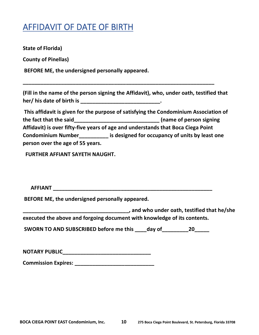### <span id="page-10-0"></span>AFFIDAVIT OF DATE OF BIRTH

**State of Florida)**

**County of Pinellas)**

**BEFORE ME, the undersigned personally appeared.**

**(Fill in the name of the person signing the Affidavit), who, under oath, testified that her/ his date of birth is \_\_\_\_\_\_\_\_\_\_\_\_\_\_\_\_\_\_\_\_\_\_\_\_\_\_\_.**

**\_\_\_\_\_\_\_\_\_\_\_\_\_\_\_\_\_\_\_\_\_\_\_\_\_\_\_\_\_\_\_\_\_\_\_\_\_\_\_\_\_\_\_\_\_\_\_\_\_\_\_\_\_\_\_\_\_\_\_\_\_\_\_\_\_**

**This affidavit is given for the purpose of satisfying the Condominium Association of the fact that the said\_\_\_\_\_\_\_\_\_\_\_\_\_\_\_\_\_\_\_\_\_\_\_\_\_\_\_\_\_ (name of person signing Affidavit) is over fifty-five years of age and understands that Boca Ciega Point Condominium Number\_\_\_\_\_\_\_\_\_\_ is designed for occupancy of units by least one person over the age of 55 years.**

 **FURTHER AFFIANT SAYETH NAUGHT.**

| <b>ACCIANIT</b><br>AFFIAN I |  |
|-----------------------------|--|
|-----------------------------|--|

**BEFORE ME, the undersigned personally appeared.**

**\_\_\_\_\_\_\_\_\_\_\_\_\_\_\_\_\_\_\_\_\_\_\_\_\_\_\_\_\_\_\_\_\_\_\_\_, and who under oath, testified that he/she executed the above and forgoing document with knowledge of its contents.**

SWORN TO AND SUBSCRIBED before me this day of **20** 

| <b>NOTARY PUBLIC</b> |  |  |
|----------------------|--|--|
|                      |  |  |

**Commission Expires: Commission Expires:**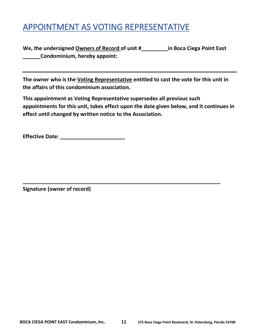## <span id="page-11-0"></span>APPOINTMENT AS VOTING REPRESENTATIVE

**We, the undersigned Owners of Record of unit #\_\_\_\_\_\_\_\_\_in Boca Ciega Point East \_\_\_\_\_\_Condominium, hereby appoint:**

**The owner who is the Voting Representative entitled to cast the vote for this unit in the affairs of this condominium association.**

**This appointment as Voting Representative supersedes all previous such appointments for this unit, takes effect upon the date given below, and it continues in effect until changed by written notice to the Association.**

**\_\_\_\_\_\_\_\_\_\_\_\_\_\_\_\_\_\_\_\_\_\_\_\_\_\_\_\_\_\_\_\_\_\_\_\_\_\_\_\_\_\_\_\_\_\_\_\_\_\_\_\_\_\_\_\_\_\_\_\_\_\_\_\_\_\_\_**

**Effective Date: \_\_\_\_\_\_\_\_\_\_\_\_\_\_\_\_\_\_\_\_\_\_**

**Signature (owner of record)**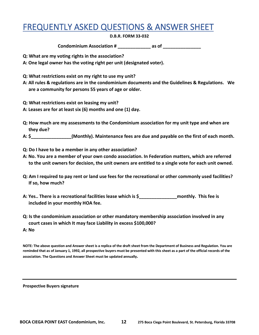## <span id="page-12-0"></span>FREQUENTLY ASKED QUESTIONS & ANSWER SHEET

#### **D.B.R. FORM 33-032**

**Condominium Association # \_\_\_\_\_\_\_\_\_\_\_\_\_ as of \_\_\_\_\_\_\_\_\_\_\_\_\_\_\_**

- **Q: What are my voting rights in the association?**
- **A: One legal owner has the voting right per unit (designated voter).**
- **Q: What restrictions exist on my right to use my unit?**
- **A: All rules & regulations are in the condominium documents and the Guidelines & Regulations. We are a community for persons 55 years of age or older.**
- **Q: What restrictions exist on leasing my unit?**
- **A: Leases are for at least six (6) months and one (1) day.**
- **Q: How much are my assessments to the Condominium association for my unit type and when are they due?**
- **A: \$\_\_\_\_\_\_\_\_\_\_\_\_\_\_\_\_(Monthly). Maintenance fees are due and payable on the first of each month.**
- **Q: Do I have to be a member in any other association?**
- **A: No. You are a member of your own condo association. In Federation matters, which are referred to the unit owners for decision, the unit owners are entitled to a single vote for each unit owned.**
- **Q: Am I required to pay rent or land use fees for the recreational or other commonly used facilities? If so, how much?**
- **A: Yes.. There is a recreational facilities lease which is \$\_\_\_\_\_\_\_\_\_\_\_\_\_\_\_monthly. This fee is included in your monthly HOA fee.**
- **Q: Is the condominium association or other mandatory membership association involved in any court cases in which It may face Liability in excess \$100,000?**
- **A: No**

**NOTE: The above question and Answer sheet is a replica of the draft sheet from the Department of Business and Regulation. You are reminded that as of January 1, 1992, all prospective buyers must be presented with this sheet as a part of the official records of the association. The Questions and Answer Sheet must be updated annually.**

**Prospective Buyers signature**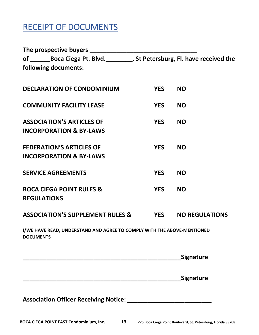## <span id="page-13-0"></span>RECEIPT OF DOCUMENTS

| of ________Boca Ciega Pt. Blvd.___________, St Petersburg, Fl. have received the            |            |                       |
|---------------------------------------------------------------------------------------------|------------|-----------------------|
| following documents:                                                                        |            |                       |
| <b>DECLARATION OF CONDOMINIUM</b>                                                           | <b>YES</b> | <b>NO</b>             |
| <b>COMMUNITY FACILITY LEASE</b>                                                             | <b>YES</b> | <b>NO</b>             |
| <b>ASSOCIATION'S ARTICLES OF</b><br><b>INCORPORATION &amp; BY-LAWS</b>                      | <b>YES</b> | <b>NO</b>             |
| <b>FEDERATION'S ARTICLES OF</b><br><b>INCORPORATION &amp; BY-LAWS</b>                       | <b>YES</b> | <b>NO</b>             |
| <b>SERVICE AGREEMENTS</b>                                                                   | <b>YES</b> | <b>NO</b>             |
| <b>BOCA CIEGA POINT RULES &amp;</b><br><b>REGULATIONS</b>                                   | <b>YES</b> | <b>NO</b>             |
| <b>ASSOCIATION'S SUPPLEMENT RULES &amp;</b>                                                 | <b>YES</b> | <b>NO REGULATIONS</b> |
| I/WE HAVE READ, UNDERSTAND AND AGREE TO COMPLY WITH THE ABOVE-MENTIONED<br><b>DOCUMENTS</b> |            |                       |
|                                                                                             |            | Signature             |
|                                                                                             |            | <b>Signature</b>      |
|                                                                                             |            |                       |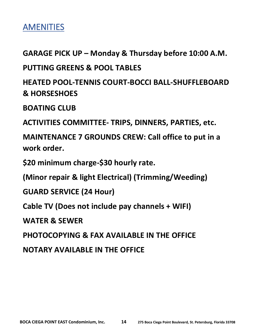<span id="page-14-0"></span>

**GARAGE PICK UP – Monday & Thursday before 10:00 A.M.**

**PUTTING GREENS & POOL TABLES**

**HEATED POOL-TENNIS COURT-BOCCI BALL-SHUFFLEBOARD & HORSESHOES**

**BOATING CLUB**

**ACTIVITIES COMMITTEE- TRIPS, DINNERS, PARTIES, etc.**

**MAINTENANCE 7 GROUNDS CREW: Call office to put in a work order.**

**\$20 minimum charge-\$30 hourly rate.**

**(Minor repair & light Electrical) (Trimming/Weeding)**

**GUARD SERVICE (24 Hour)**

**Cable TV (Does not include pay channels + WIFI)**

**WATER & SEWER**

**PHOTOCOPYING & FAX AVAILABLE IN THE OFFICE**

**NOTARY AVAILABLE IN THE OFFICE**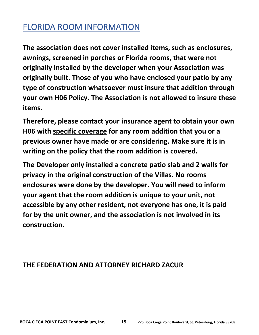## <span id="page-15-0"></span>FLORIDA ROOM INFORMATION

**The association does not cover installed items, such as enclosures, awnings, screened in porches or Florida rooms, that were not originally installed by the developer when your Association was originally built. Those of you who have enclosed your patio by any type of construction whatsoever must insure that addition through your own H06 Policy. The Association is not allowed to insure these items.**

**Therefore, please contact your insurance agent to obtain your own H06 with specific coverage for any room addition that you or a previous owner have made or are considering. Make sure it is in writing on the policy that the room addition is covered.**

**The Developer only installed a concrete patio slab and 2 walls for privacy in the original construction of the Villas. No rooms enclosures were done by the developer. You will need to inform your agent that the room addition is unique to your unit, not accessible by any other resident, not everyone has one, it is paid for by the unit owner, and the association is not involved in its construction.**

### **THE FEDERATION AND ATTORNEY RICHARD ZACUR**